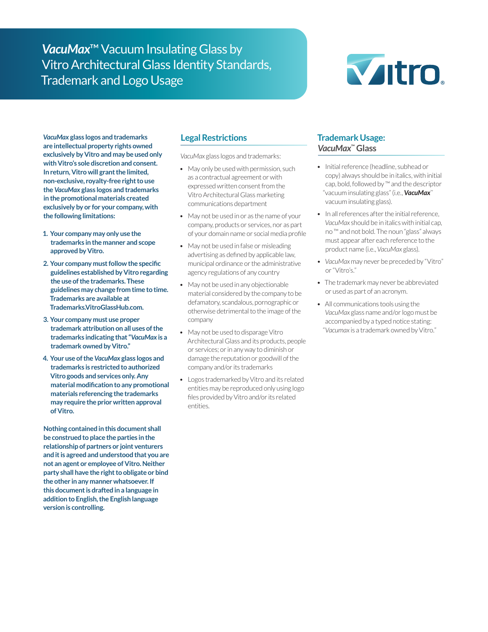# *VacuMax*™ Vacuum Insulating Glass by Vitro Architectural Glass Identity Standards, Trademark and Logo Usage



*VacuMax* **glass logos and trademarks are intellectual property rights owned exclusively by Vitro and may be used only with Vitro's sole discretion and consent. In return, Vitro will grant the limited, non-exclusive, royalty-free right to use the** *VacuMax* **glass logos and trademarks in the promotional materials created exclusively by or for your company, with the following limitations:**

- **1. Your company may only use the trademarks in the manner and scope approved by Vitro.**
- **2. Your company must follow the specific guidelines established by Vitro regarding the use of the trademarks. These guidelines may change from time to time. Trademarks are available at Trademarks.VitroGlassHub.com.**
- **3. Your company must use proper trademark attribution on all uses of the trademarks indicating that "***VacuMax* **is a trademark owned by Vitro."**
- **4. Your use of the** *VacuMax* **glass logos and trademarks is restricted to authorized Vitro goods and services only. Any material modification to any promotional materials referencing the trademarks may require the prior written approval of Vitro.**

**Nothing contained in this document shall be construed to place the parties in the relationship of partners or joint venturers and it is agreed and understood that you are not an agent or employee of Vitro. Neither party shall have the right to obligate or bind the other in any manner whatsoever. If this document is drafted in a language in addition to English, the English language version is controlling.**

# **Legal Restrictions**

*VacuMax* glass logos and trademarks:

- May only be used with permission, such as a contractual agreement or with expressed written consent from the Vitro Architectural Glass marketing communications department
- May not be used in or as the name of your company, products or services, nor as part of your domain name or social media profile
- May not be used in false or misleading advertising as defined by applicable law, municipal ordinance or the administrative agency regulations of any country
- May not be used in any objectionable material considered by the company to be defamatory, scandalous, pornographic or otherwise detrimental to the image of the company
- May not be used to disparage Vitro Architectural Glass and its products, people or services; or in any way to diminish or damage the reputation or goodwill of the company and/or its trademarks
- Logos trademarked by Vitro and its related entities may be reproduced only using logo files provided by Vitro and/or its related entities.

# **Trademark Usage:**  *VacuMax***™ Glass**

- Initial reference (headline, subhead or copy) always should be in italics, with initial cap, bold, followed by ™ and the descriptor "vacuum insulating glass" (i.e., *VacuMax*™ vacuum insulating glass).
- In all references after the initial reference, *VacuMax* should be in italics with initial cap, no ™ and not bold. The noun "glass" always must appear after each reference to the product name (i.e., *VacuMax* glass).
- *• VacuMax* may never be preceded by "Vitro" or "Vitro's."
- The trademark may never be abbreviated or used as part of an acronym.
- All communications tools using the *VacuMax* glass name and/or logo must be accompanied by a typed notice stating: "*Vacumax* is a trademark owned by Vitro."